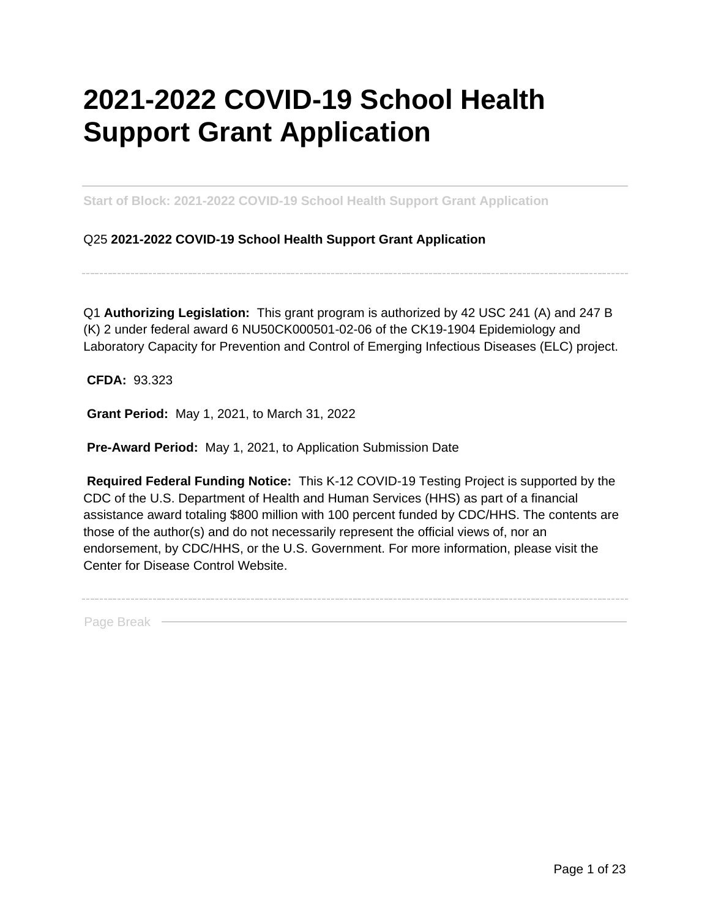# **2021-2022 COVID-19 School Health Support Grant Application**

**Start of Block: 2021-2022 COVID-19 School Health Support Grant Application**

Q25 **2021-2022 COVID-19 School Health Support Grant Application**

Q1 **Authorizing Legislation:** This grant program is authorized by 42 USC 241 (A) and 247 B (K) 2 under federal award 6 NU50CK000501-02-06 of the CK19-1904 Epidemiology and Laboratory Capacity for Prevention and Control of Emerging Infectious Diseases (ELC) project.

**CFDA:** 93.323

**Grant Period:** May 1, 2021, to March 31, 2022

**Pre-Award Period:** May 1, 2021, to Application Submission Date

**Required Federal Funding Notice:** This K-12 COVID-19 Testing Project is supported by the CDC of the U.S. Department of Health and Human Services (HHS) as part of a financial assistance award totaling \$800 million with 100 percent funded by CDC/HHS. The contents are those of the author(s) and do not necessarily represent the official views of, nor an endorsement, by CDC/HHS, or the U.S. Government. For more information, please visit the Center for Disease Control Website.

Page Break -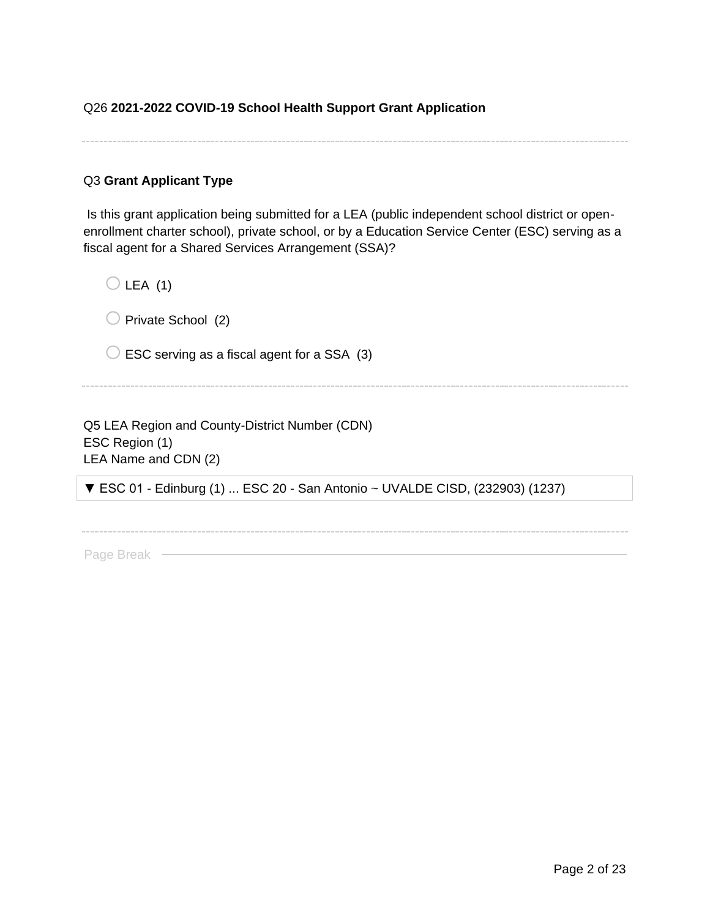# Q26 **2021-2022 COVID-19 School Health Support Grant Application**

#### Q3 **Grant Applicant Type**

Is this grant application being submitted for a LEA (public independent school district or openenrollment charter school), private school, or by a Education Service Center (ESC) serving as a fiscal agent for a Shared Services Arrangement (SSA)?

 $O$  LEA (1)  $\bigcirc$  Private School (2)  $\bigcirc$  ESC serving as a fiscal agent for a SSA (3) Q5 LEA Region and County-District Number (CDN) ESC Region (1) LEA Name and CDN (2) ▼ ESC 01 - Edinburg (1) ... ESC 20 - San Antonio ~ UVALDE CISD, (232903) (1237)

Page Break —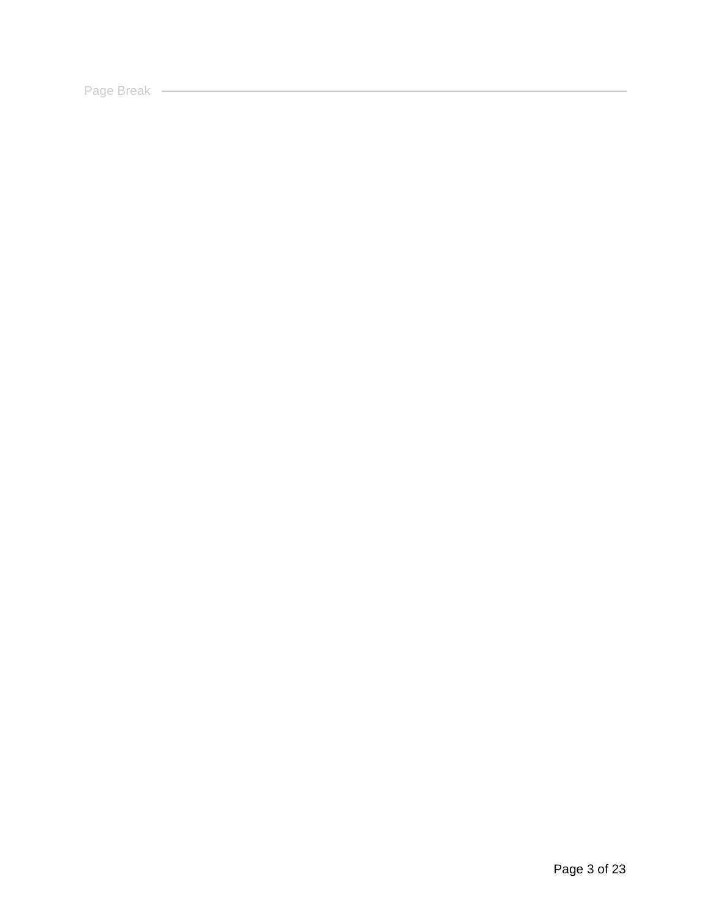Page Break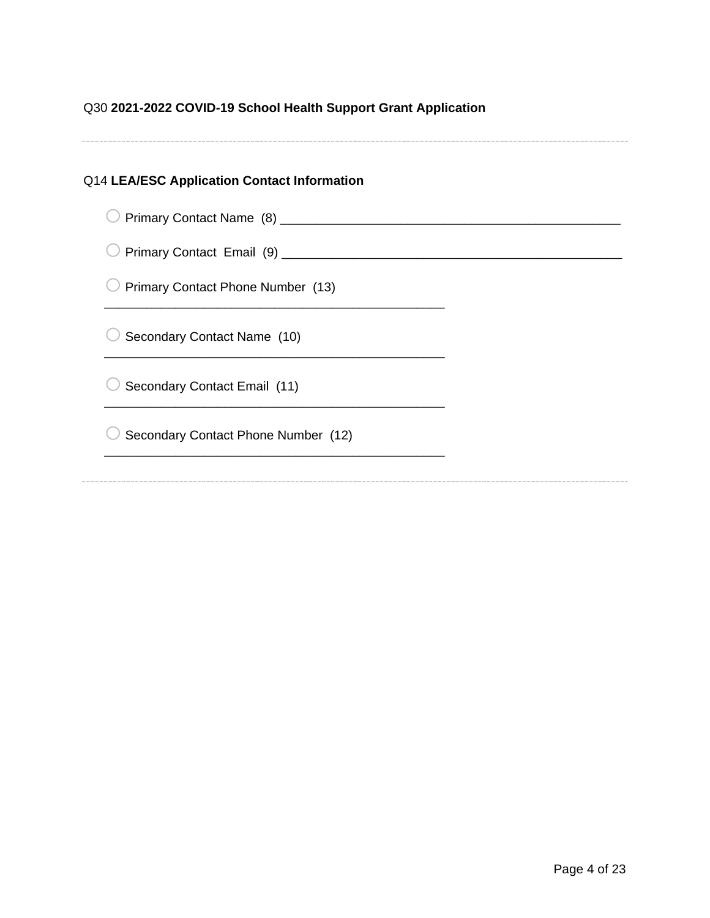# Q30 **2021-2022 COVID-19 School Health Support Grant Application**

| Q14 LEA/ESC Application Contact Information |  |
|---------------------------------------------|--|
|                                             |  |
|                                             |  |
| Primary Contact Email (9) ______            |  |
| Primary Contact Phone Number (13)           |  |
| Secondary Contact Name (10)                 |  |
| Secondary Contact Email (11)                |  |
| Secondary Contact Phone Number (12)         |  |
|                                             |  |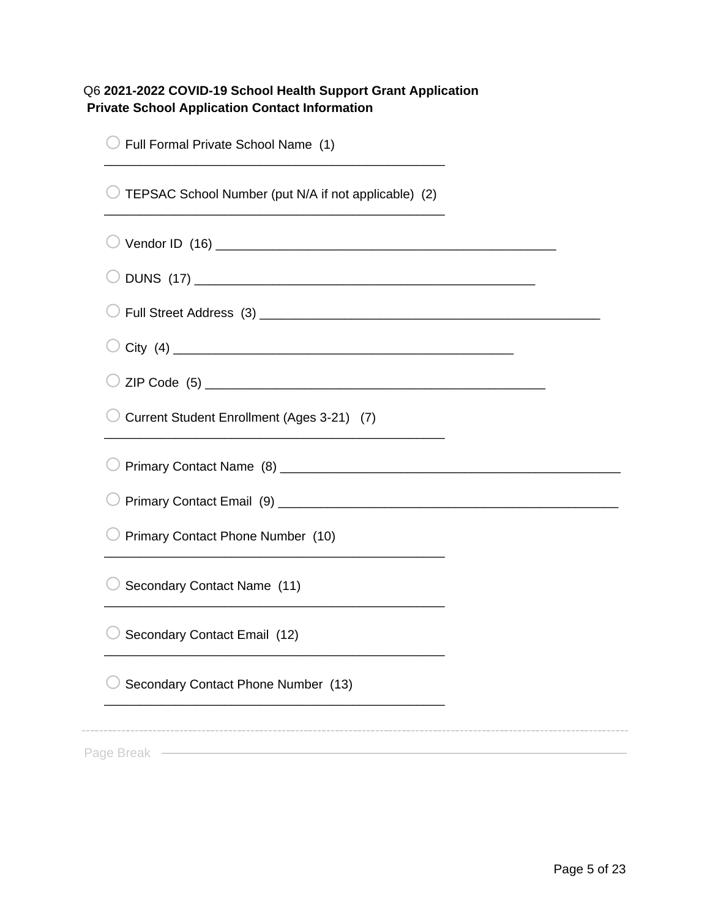# Q6 **2021-2022 COVID-19 School Health Support Grant Application Private School Application Contact Information**

| TEPSAC School Number (put N/A if not applicable) (2) |  |
|------------------------------------------------------|--|
|                                                      |  |
|                                                      |  |
|                                                      |  |
|                                                      |  |
|                                                      |  |
| Current Student Enrollment (Ages 3-21) (7)           |  |
|                                                      |  |
|                                                      |  |
| Primary Contact Phone Number (10)                    |  |
| Secondary Contact Name (11)                          |  |
| Secondary Contact Email (12)                         |  |
| Secondary Contact Phone Number (13)                  |  |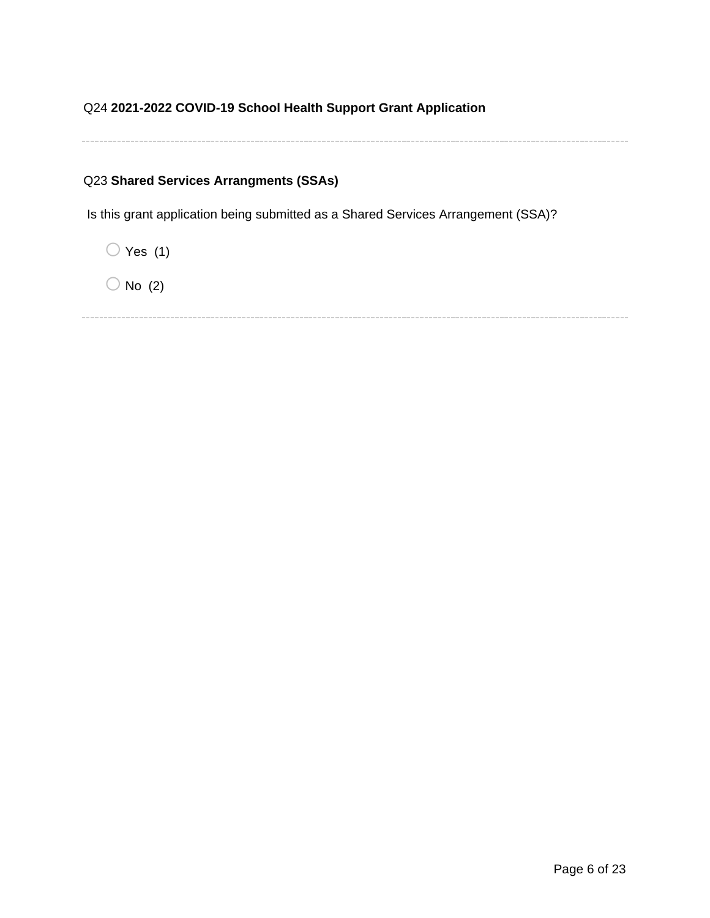# Q24 **2021-2022 COVID-19 School Health Support Grant Application**

# Q23 **Shared Services Arrangments (SSAs)**

Is this grant application being submitted as a Shared Services Arrangement (SSA)?

 $\bigcirc$  Yes (1)  $\bigcirc$  No (2)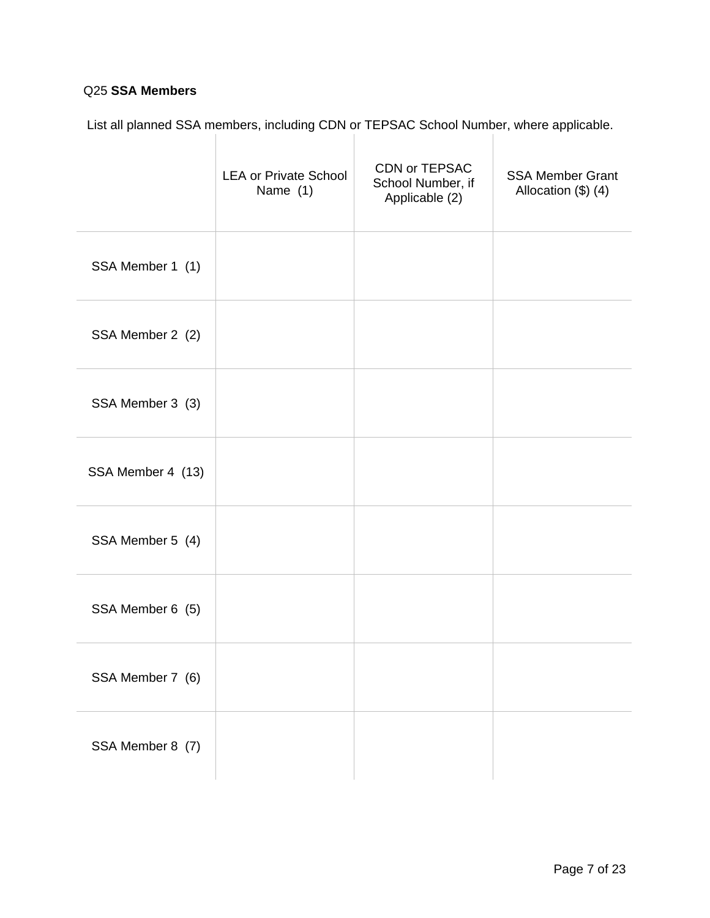# Q25 **SSA Members**

List all planned SSA members, including CDN or TEPSAC School Number, where applicable.

|                   | <b>LEA or Private School</b><br>Name (1) | CDN or TEPSAC<br>School Number, if<br>Applicable (2) | <b>SSA Member Grant</b><br>Allocation (\$) (4) |
|-------------------|------------------------------------------|------------------------------------------------------|------------------------------------------------|
| SSA Member 1 (1)  |                                          |                                                      |                                                |
| SSA Member 2 (2)  |                                          |                                                      |                                                |
| SSA Member 3 (3)  |                                          |                                                      |                                                |
| SSA Member 4 (13) |                                          |                                                      |                                                |
| SSA Member 5 (4)  |                                          |                                                      |                                                |
| SSA Member 6 (5)  |                                          |                                                      |                                                |
| SSA Member 7 (6)  |                                          |                                                      |                                                |
| SSA Member 8 (7)  |                                          |                                                      |                                                |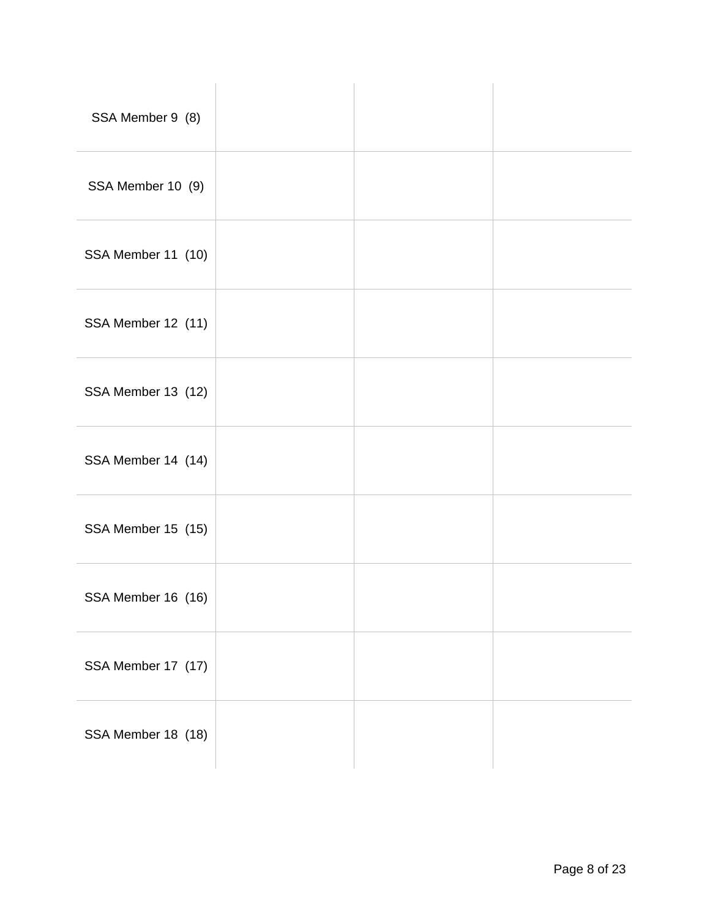| SSA Member 9 (8)   |  |  |
|--------------------|--|--|
| SSA Member 10 (9)  |  |  |
| SSA Member 11 (10) |  |  |
| SSA Member 12 (11) |  |  |
| SSA Member 13 (12) |  |  |
| SSA Member 14 (14) |  |  |
| SSA Member 15 (15) |  |  |
| SSA Member 16 (16) |  |  |
| SSA Member 17 (17) |  |  |
| SSA Member 18 (18) |  |  |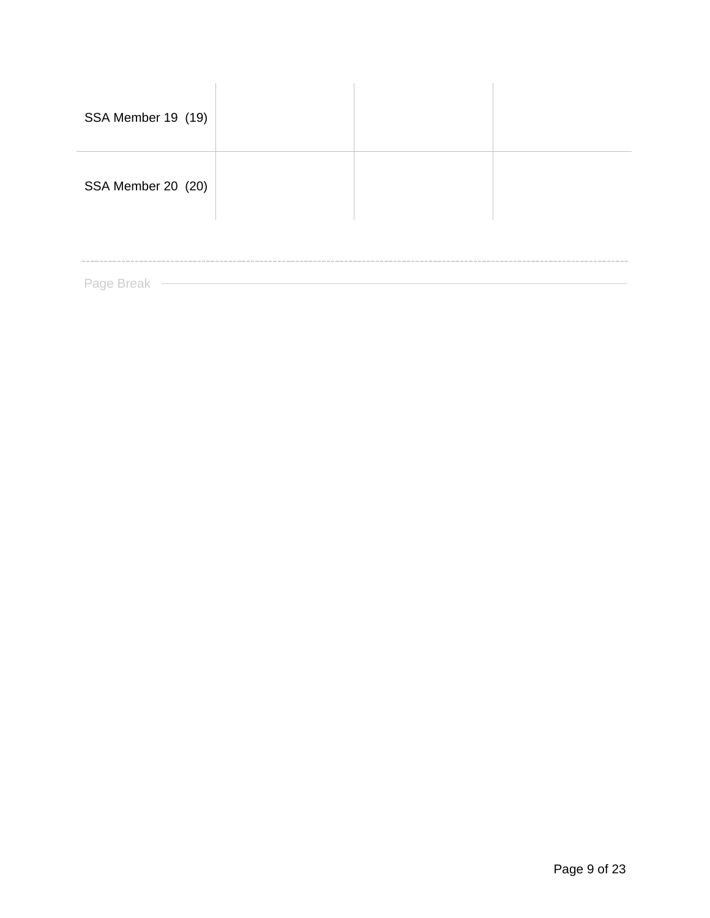| SSA Member 19 (19) |  |  |
|--------------------|--|--|
| SSA Member 20 (20) |  |  |
|                    |  |  |

Page Break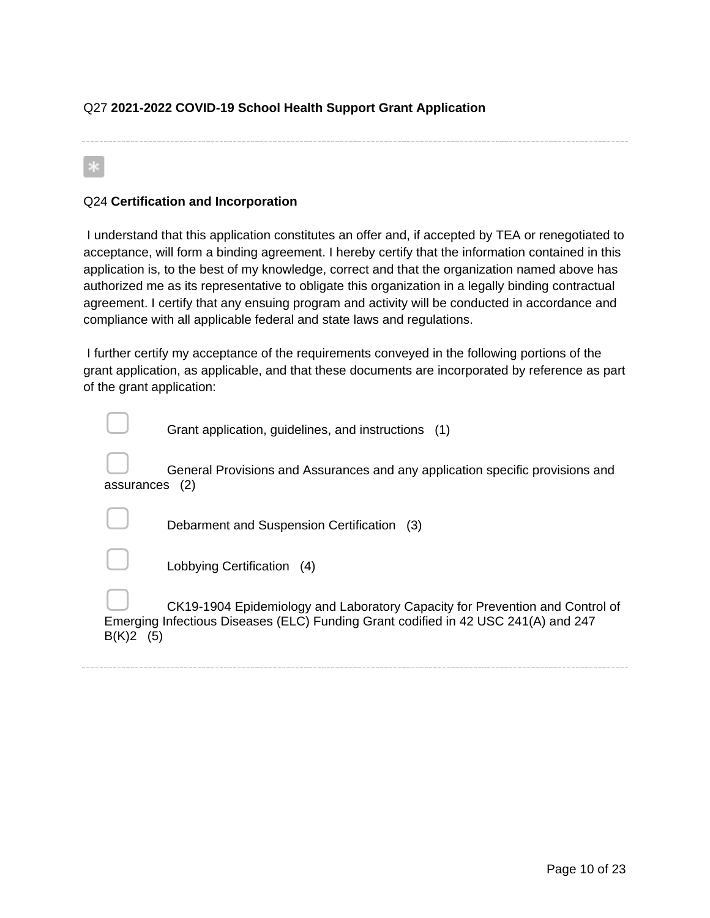# Q27 **2021-2022 COVID-19 School Health Support Grant Application**

# $\ast$

#### Q24 **Certification and Incorporation**

I understand that this application constitutes an offer and, if accepted by TEA or renegotiated to acceptance, will form a binding agreement. I hereby certify that the information contained in this application is, to the best of my knowledge, correct and that the organization named above has authorized me as its representative to obligate this organization in a legally binding contractual agreement. I certify that any ensuing program and activity will be conducted in accordance and compliance with all applicable federal and state laws and regulations.

I further certify my acceptance of the requirements conveyed in the following portions of the grant application, as applicable, and that these documents are incorporated by reference as part of the grant application:

|            | Grant application, guidelines, and instructions (1)                                                                                                                |
|------------|--------------------------------------------------------------------------------------------------------------------------------------------------------------------|
| assurances | General Provisions and Assurances and any application specific provisions and<br>(2)                                                                               |
|            | Debarment and Suspension Certification (3)                                                                                                                         |
|            | Lobbying Certification (4)                                                                                                                                         |
| 61<br>B(I  | CK19-1904 Epidemiology and Laboratory Capacity for Prevention and Control of<br>Emerging Infectious Diseases (ELC) Funding Grant codified in 42 USC 241(A) and 247 |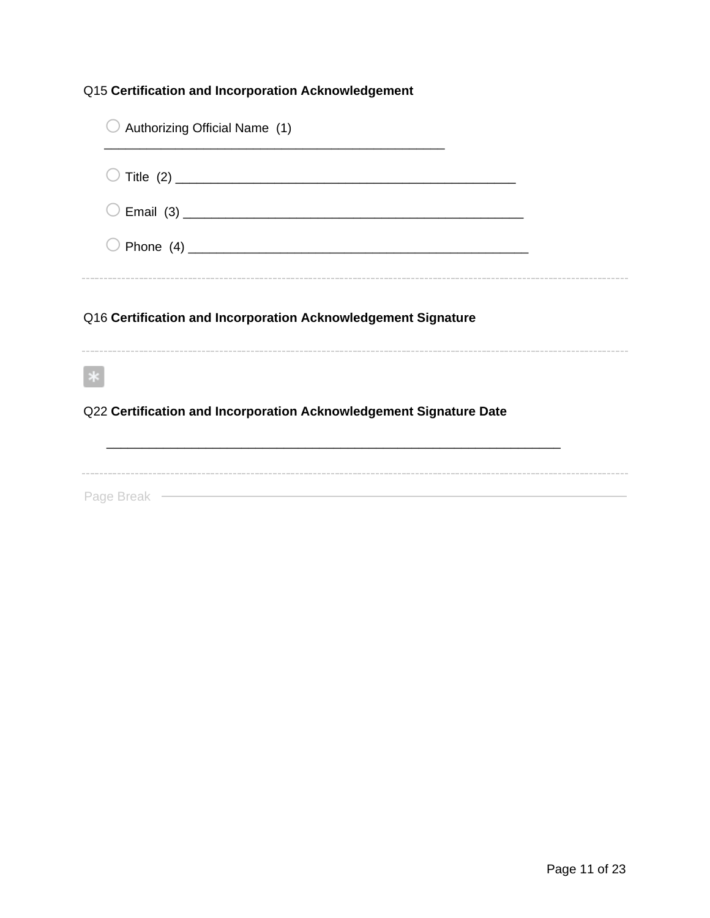| Q15 Certification and Incorporation Acknowledgement                |  |
|--------------------------------------------------------------------|--|
| Authorizing Official Name (1)                                      |  |
|                                                                    |  |
|                                                                    |  |
|                                                                    |  |
| Q16 Certification and Incorporation Acknowledgement Signature      |  |
|                                                                    |  |
| Q22 Certification and Incorporation Acknowledgement Signature Date |  |
|                                                                    |  |
| Page Break -                                                       |  |

# Page 11 of 23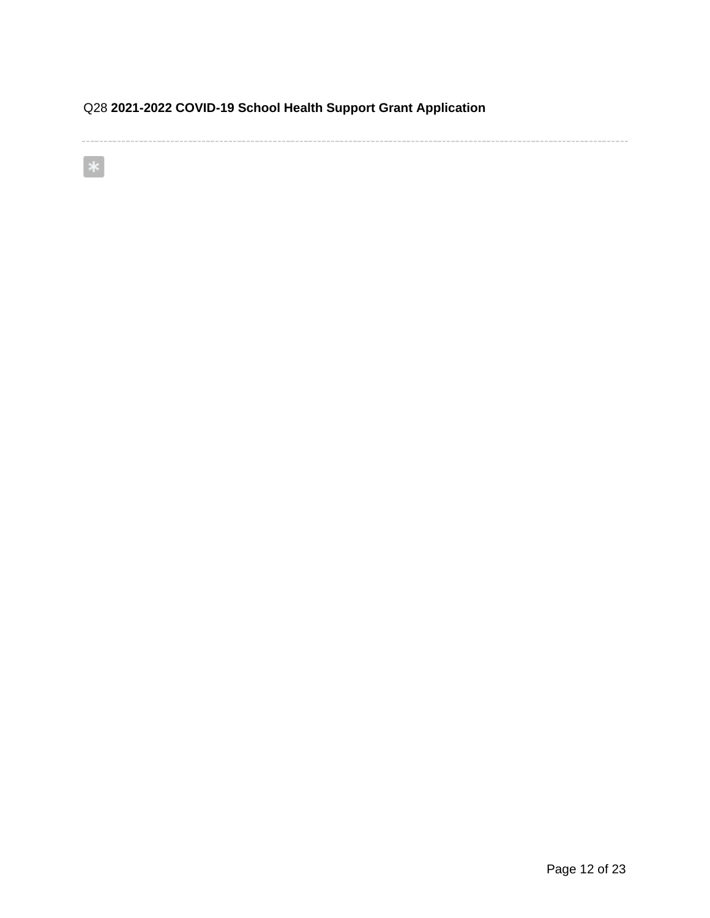# Q28 **2021-2022 COVID-19 School Health Support Grant Application**

 $\left( * \right)$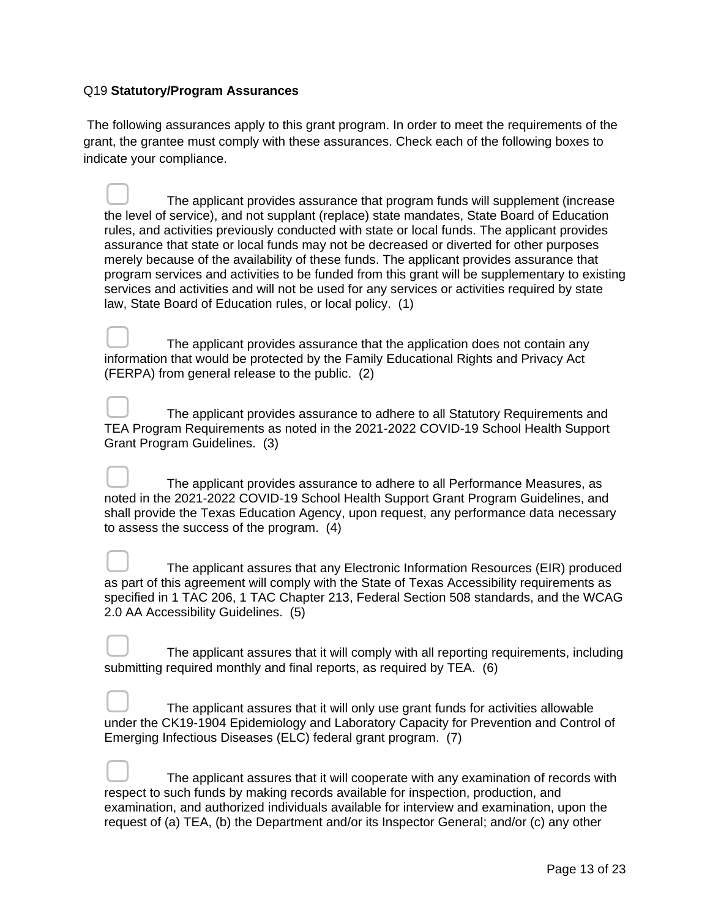#### Q19 **Statutory/Program Assurances**

The following assurances apply to this grant program. In order to meet the requirements of the grant, the grantee must comply with these assurances. Check each of the following boxes to indicate your compliance.

| The applicant provides assurance that program funds will supplement (increase                  |
|------------------------------------------------------------------------------------------------|
| the level of service), and not supplant (replace) state mandates, State Board of Education     |
| rules, and activities previously conducted with state or local funds. The applicant provides   |
| assurance that state or local funds may not be decreased or diverted for other purposes        |
| merely because of the availability of these funds. The applicant provides assurance that       |
| program services and activities to be funded from this grant will be supplementary to existing |
| services and activities and will not be used for any services or activities required by state  |
| law, State Board of Education rules, or local policy. (1)                                      |

The applicant provides assurance that the application does not contain any information that would be protected by the Family Educational Rights and Privacy Act (FERPA) from general release to the public. (2)

The applicant provides assurance to adhere to all Statutory Requirements and TEA Program Requirements as noted in the 2021-2022 COVID-19 School Health Support Grant Program Guidelines. (3)

The applicant provides assurance to adhere to all Performance Measures, as noted in the 2021-2022 COVID-19 School Health Support Grant Program Guidelines, and shall provide the Texas Education Agency, upon request, any performance data necessary to assess the success of the program. (4)

The applicant assures that any Electronic Information Resources (EIR) produced as part of this agreement will comply with the State of Texas Accessibility requirements as specified in 1 TAC 206, 1 TAC Chapter 213, Federal Section 508 standards, and the WCAG 2.0 AA Accessibility Guidelines. (5)

The applicant assures that it will comply with all reporting requirements, including submitting required monthly and final reports, as required by TEA. (6)

The applicant assures that it will only use grant funds for activities allowable under the CK19-1904 Epidemiology and Laboratory Capacity for Prevention and Control of Emerging Infectious Diseases (ELC) federal grant program. (7)

The applicant assures that it will cooperate with any examination of records with respect to such funds by making records available for inspection, production, and examination, and authorized individuals available for interview and examination, upon the request of (a) TEA, (b) the Department and/or its Inspector General; and/or (c) any other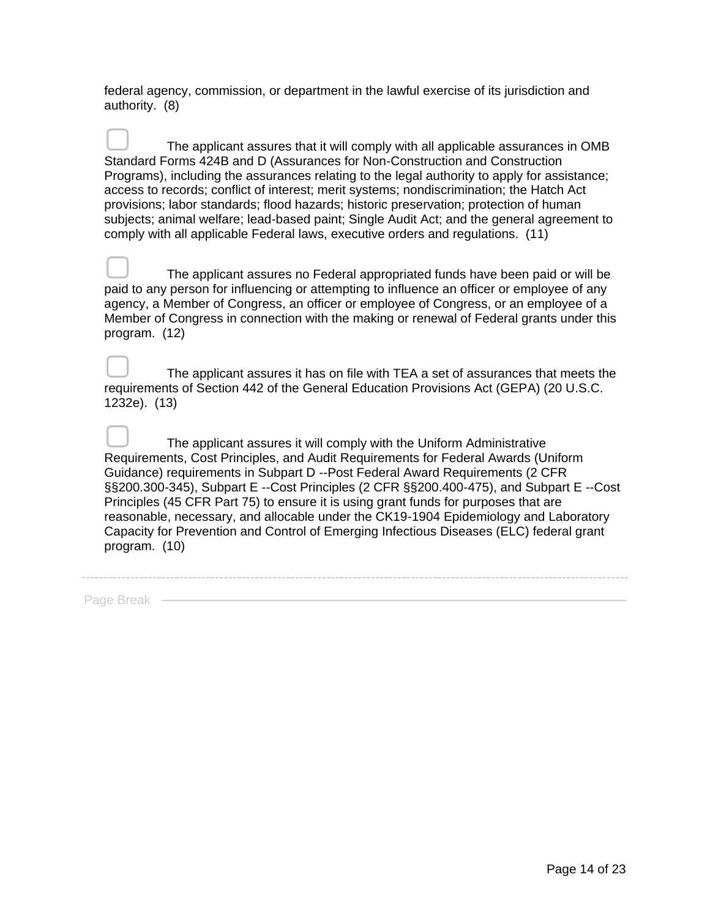federal agency, commission, or department in the lawful exercise of its jurisdiction and authority. (8)

The applicant assures that it will comply with all applicable assurances in OMB Standard Forms 424B and D (Assurances for Non-Construction and Construction Programs), including the assurances relating to the legal authority to apply for assistance; access to records; conflict of interest; merit systems; nondiscrimination; the Hatch Act provisions; labor standards; flood hazards; historic preservation; protection of human subjects; animal welfare; lead-based paint; Single Audit Act; and the general agreement to comply with all applicable Federal laws, executive orders and regulations. (11)

▢ The applicant assures no Federal appropriated funds have been paid or will be paid to any person for influencing or attempting to influence an officer or employee of any agency, a Member of Congress, an officer or employee of Congress, or an employee of a Member of Congress in connection with the making or renewal of Federal grants under this program. (12)

The applicant assures it has on file with TEA a set of assurances that meets the requirements of Section 442 of the General Education Provisions Act (GEPA) (20 U.S.C. 1232e). (13)

The applicant assures it will comply with the Uniform Administrative Requirements, Cost Principles, and Audit Requirements for Federal Awards (Uniform Guidance) requirements in Subpart D --Post Federal Award Requirements (2 CFR §§200.300-345), Subpart E --Cost Principles (2 CFR §§200.400-475), and Subpart E --Cost Principles (45 CFR Part 75) to ensure it is using grant funds for purposes that are reasonable, necessary, and allocable under the CK19-1904 Epidemiology and Laboratory Capacity for Prevention and Control of Emerging Infectious Diseases (ELC) federal grant program. (10)

Page Break -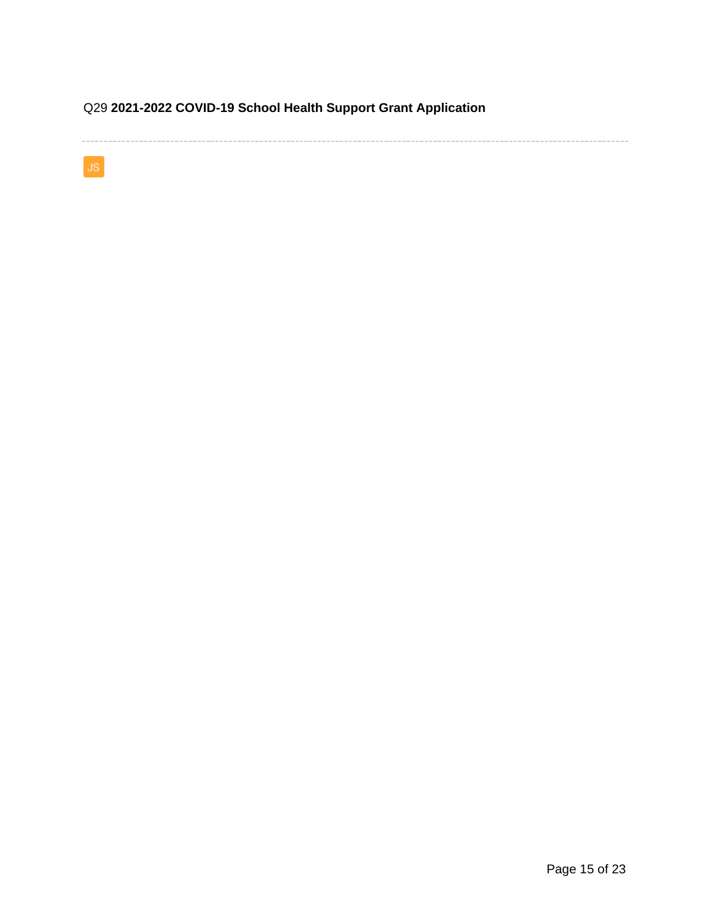# Q29 **2021-2022 COVID-19 School Health Support Grant Application**

 $\sqrt{2}$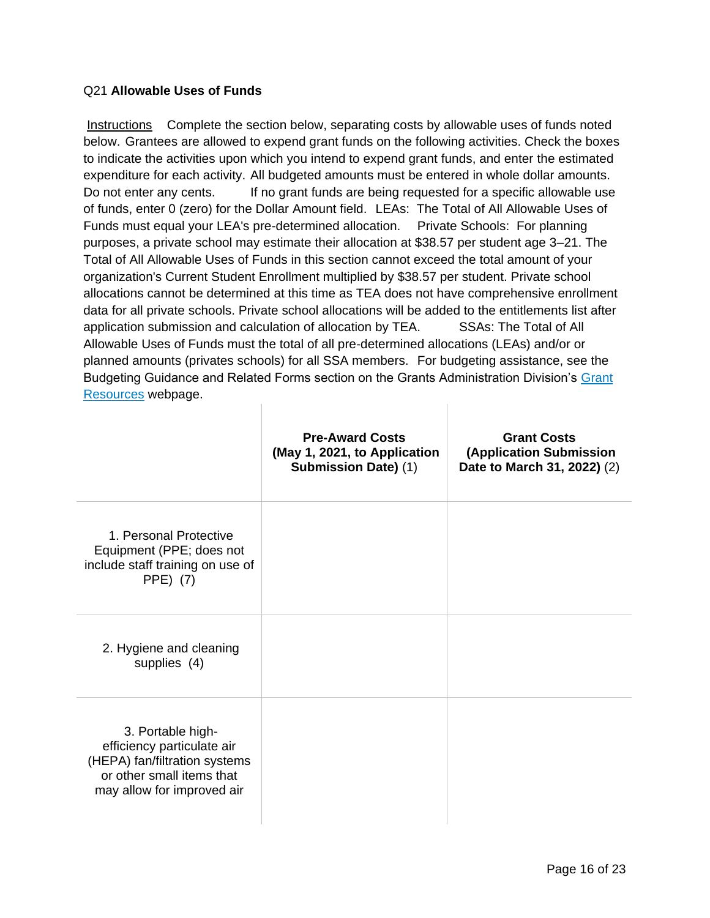## Q21 **Allowable Uses of Funds**

Instructions Complete the section below, separating costs by allowable uses of funds noted below. Grantees are allowed to expend grant funds on the following activities. Check the boxes to indicate the activities upon which you intend to expend grant funds, and enter the estimated expenditure for each activity. All budgeted amounts must be entered in whole dollar amounts. Do not enter any cents. If no grant funds are being requested for a specific allowable use of funds, enter 0 (zero) for the Dollar Amount field. LEAs: The Total of All Allowable Uses of Funds must equal your LEA's pre-determined allocation. Private Schools: For planning purposes, a private school may estimate their allocation at \$38.57 per student age 3–21. The Total of All Allowable Uses of Funds in this section cannot exceed the total amount of your organization's Current Student Enrollment multiplied by \$38.57 per student. Private school allocations cannot be determined at this time as TEA does not have comprehensive enrollment data for all private schools. Private school allocations will be added to the entitlements list after application submission and calculation of allocation by TEA. SSAs: The Total of All Allowable Uses of Funds must the total of all pre-determined allocations (LEAs) and/or or planned amounts (privates schools) for all SSA members. For budgeting assistance, see the Budgeting Guidance and Related Forms section on the Grants Administration Division's [Grant](https://tea.texas.gov/finance-and-grants/grants/grants-administration/grant-resources)  [Resources](https://tea.texas.gov/finance-and-grants/grants/grants-administration/grant-resources) webpage.

|                                                                                                                                             | <b>Pre-Award Costs</b><br>(May 1, 2021, to Application<br><b>Submission Date) (1)</b> | <b>Grant Costs</b><br>(Application Submission<br>Date to March 31, 2022) (2) |
|---------------------------------------------------------------------------------------------------------------------------------------------|---------------------------------------------------------------------------------------|------------------------------------------------------------------------------|
| 1. Personal Protective<br>Equipment (PPE; does not<br>include staff training on use of<br>PPE) (7)                                          |                                                                                       |                                                                              |
| 2. Hygiene and cleaning<br>supplies (4)                                                                                                     |                                                                                       |                                                                              |
| 3. Portable high-<br>efficiency particulate air<br>(HEPA) fan/filtration systems<br>or other small items that<br>may allow for improved air |                                                                                       |                                                                              |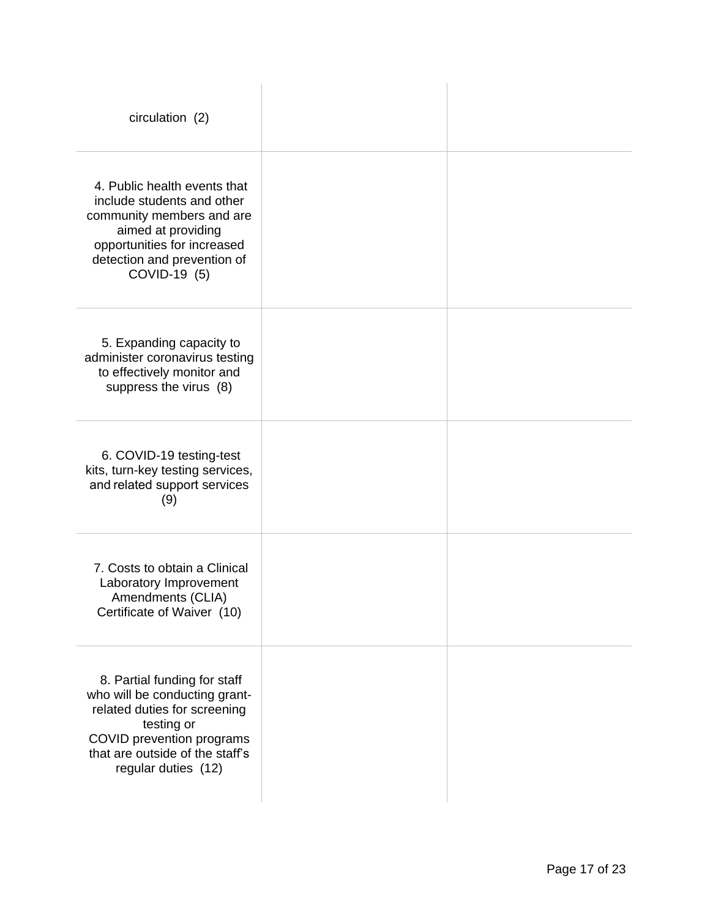| circulation (2)                                                                                                                                                                                    |  |
|----------------------------------------------------------------------------------------------------------------------------------------------------------------------------------------------------|--|
| 4. Public health events that<br>include students and other<br>community members and are<br>aimed at providing<br>opportunities for increased<br>detection and prevention of<br>COVID-19 (5)        |  |
| 5. Expanding capacity to<br>administer coronavirus testing<br>to effectively monitor and<br>suppress the virus (8)                                                                                 |  |
| 6. COVID-19 testing-test<br>kits, turn-key testing services,<br>and related support services<br>(9)                                                                                                |  |
| 7. Costs to obtain a Clinical<br>Laboratory Improvement<br>Amendments (CLIA)<br>Certificate of Waiver (10)                                                                                         |  |
| 8. Partial funding for staff<br>who will be conducting grant-<br>related duties for screening<br>testing or<br>COVID prevention programs<br>that are outside of the staff's<br>regular duties (12) |  |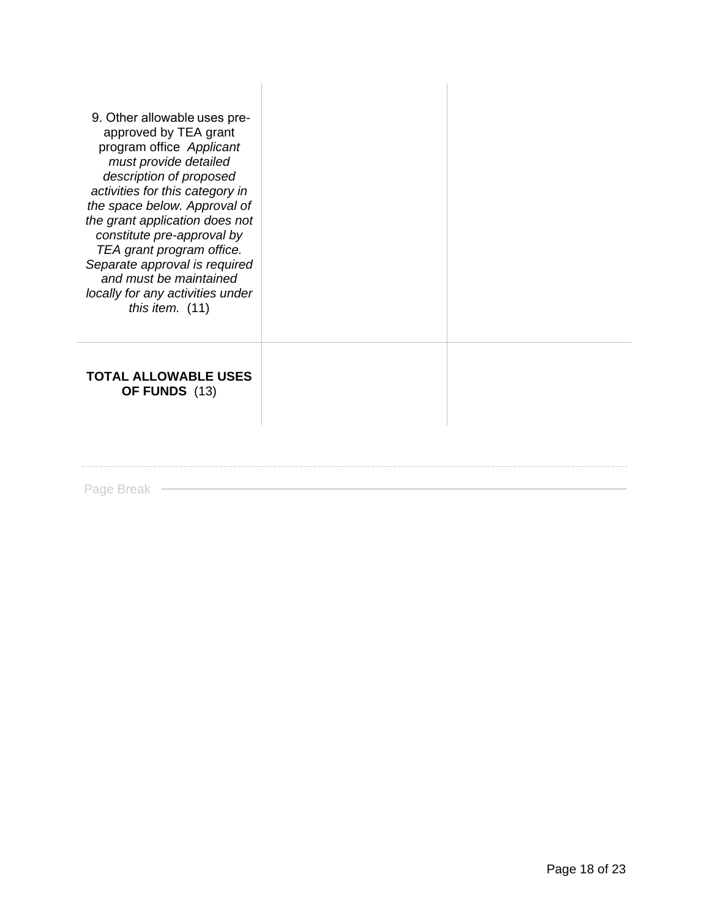| 9. Other allowable uses pre-<br>approved by TEA grant<br>program office Applicant<br>must provide detailed<br>description of proposed<br>activities for this category in<br>the space below. Approval of<br>the grant application does not<br>constitute pre-approval by<br>TEA grant program office.<br>Separate approval is required<br>and must be maintained<br>locally for any activities under<br>this item. (11) |  |
|-------------------------------------------------------------------------------------------------------------------------------------------------------------------------------------------------------------------------------------------------------------------------------------------------------------------------------------------------------------------------------------------------------------------------|--|
| <b>TOTAL ALLOWABLE USES</b><br>OF FUNDS (13)                                                                                                                                                                                                                                                                                                                                                                            |  |
|                                                                                                                                                                                                                                                                                                                                                                                                                         |  |

Page Break —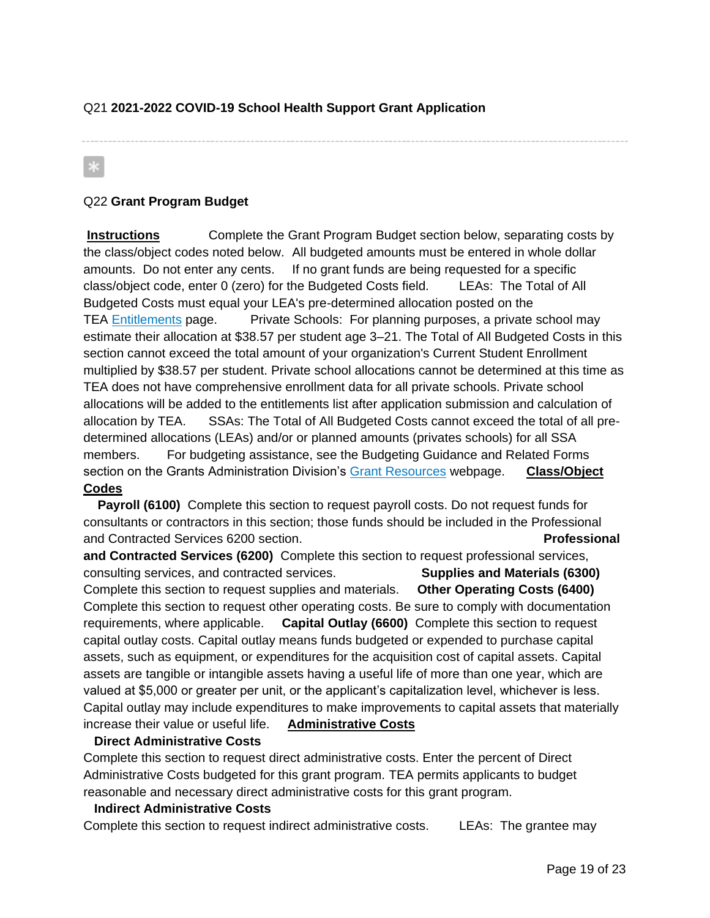# Q21 **2021-2022 COVID-19 School Health Support Grant Application**

# $\ast$

## Q22 **Grant Program Budget**

**Instructions** Complete the Grant Program Budget section below, separating costs by the class/object codes noted below. All budgeted amounts must be entered in whole dollar amounts. Do not enter any cents. If no grant funds are being requested for a specific class/object code, enter 0 (zero) for the Budgeted Costs field. LEAs: The Total of All Budgeted Costs must equal your LEA's pre-determined allocation posted on the TEA [Entitlements](https://tea.texas.gov/finance-and-grants/grants/grants-administration/applying-for-a-grant/entitlements) page. Private Schools: For planning purposes, a private school may estimate their allocation at \$38.57 per student age 3–21. The Total of All Budgeted Costs in this section cannot exceed the total amount of your organization's Current Student Enrollment multiplied by \$38.57 per student. Private school allocations cannot be determined at this time as TEA does not have comprehensive enrollment data for all private schools. Private school allocations will be added to the entitlements list after application submission and calculation of allocation by TEA. SSAs: The Total of All Budgeted Costs cannot exceed the total of all predetermined allocations (LEAs) and/or or planned amounts (privates schools) for all SSA members. For budgeting assistance, see the Budgeting Guidance and Related Forms section on the Grants Administration Division's [Grant Resources](https://tea.texas.gov/finance-and-grants/grants/grants-administration/grant-resources) webpage. **Class/Object Codes**

 **Payroll (6100)** Complete this section to request payroll costs. Do not request funds for consultants or contractors in this section; those funds should be included in the Professional and Contracted Services 6200 section. **Professional** 

**and Contracted Services (6200)** Complete this section to request professional services, consulting services, and contracted services. **Supplies and Materials (6300)**

Complete this section to request supplies and materials. **Other Operating Costs (6400)** Complete this section to request other operating costs. Be sure to comply with documentation requirements, where applicable. **Capital Outlay (6600)** Complete this section to request capital outlay costs. Capital outlay means funds budgeted or expended to purchase capital assets, such as equipment, or expenditures for the acquisition cost of capital assets. Capital assets are tangible or intangible assets having a useful life of more than one year, which are valued at \$5,000 or greater per unit, or the applicant's capitalization level, whichever is less. Capital outlay may include expenditures to make improvements to capital assets that materially increase their value or useful life. **Administrative Costs**

#### **Direct Administrative Costs**

Complete this section to request direct administrative costs. Enter the percent of Direct Administrative Costs budgeted for this grant program. TEA permits applicants to budget reasonable and necessary direct administrative costs for this grant program.

#### **Indirect Administrative Costs**

Complete this section to request indirect administrative costs. LEAs: The grantee may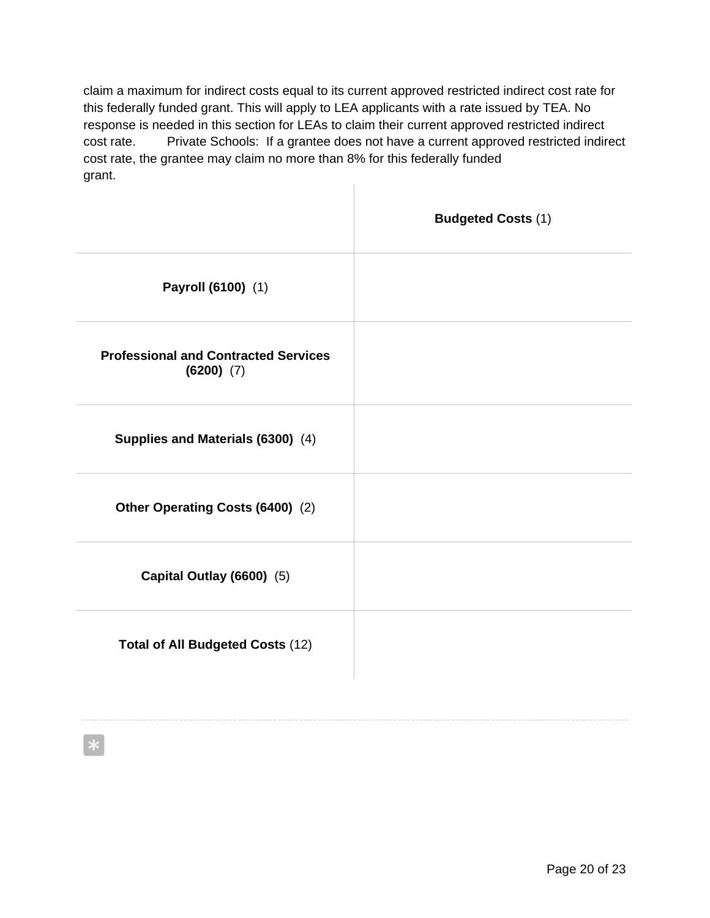claim a maximum for indirect costs equal to its current approved restricted indirect cost rate for this federally funded grant. This will apply to LEA applicants with a rate issued by TEA. No response is needed in this section for LEAs to claim their current approved restricted indirect cost rate. Private Schools: If a grantee does not have a current approved restricted indirect cost rate, the grantee may claim no more than 8% for this federally funded grant.

|                                                               | <b>Budgeted Costs (1)</b> |
|---------------------------------------------------------------|---------------------------|
| Payroll (6100) (1)                                            |                           |
| <b>Professional and Contracted Services</b><br>$(6200)$ $(7)$ |                           |
| Supplies and Materials (6300) (4)                             |                           |
| Other Operating Costs (6400) (2)                              |                           |
| Capital Outlay (6600) (5)                                     |                           |
| <b>Total of All Budgeted Costs (12)</b>                       |                           |
|                                                               |                           |

 $\ast$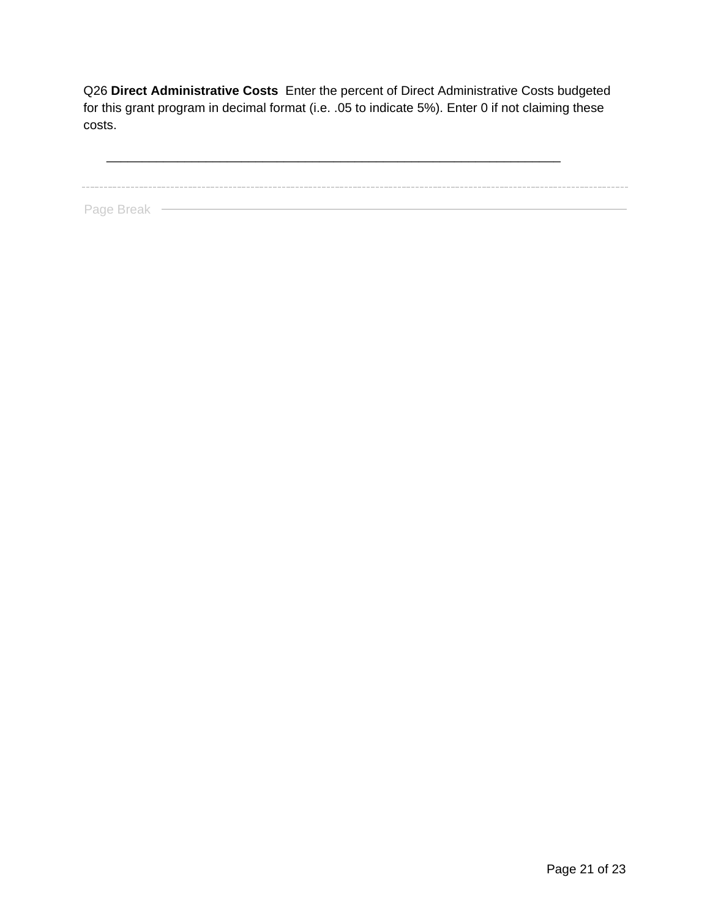Q26 **Direct Administrative Costs** Enter the percent of Direct Administrative Costs budgeted for this grant program in decimal format (i.e. .05 to indicate 5%). Enter 0 if not claiming these costs.

\_\_\_\_\_\_\_\_\_\_\_\_\_\_\_\_\_\_\_\_\_\_\_\_\_\_\_\_\_\_\_\_\_\_\_\_\_\_\_\_\_\_\_\_\_\_\_\_\_\_\_\_\_\_\_\_\_\_\_\_\_\_\_\_ Page Break -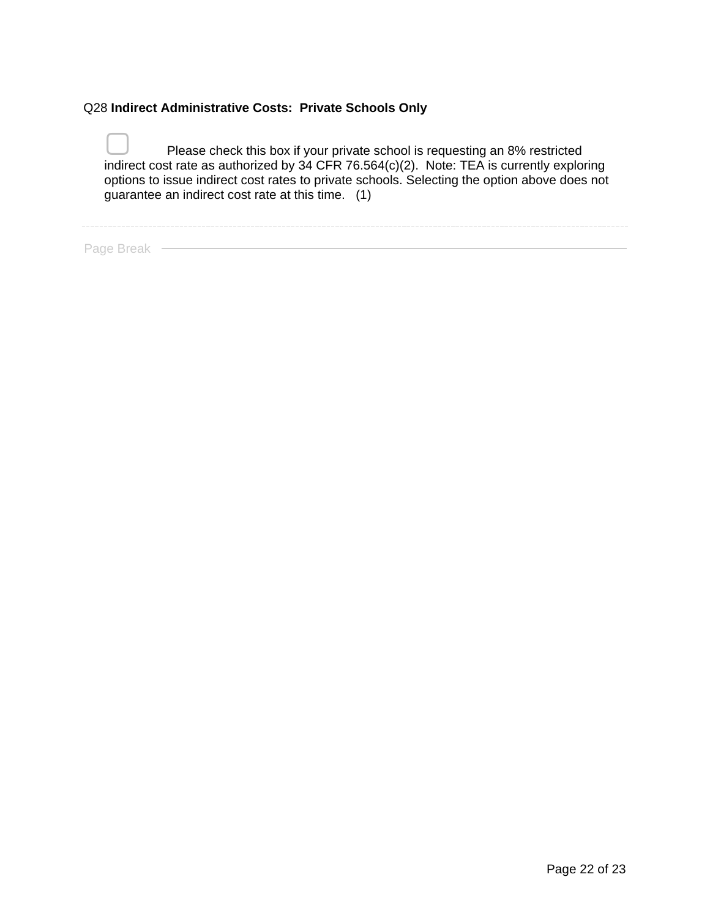# Q28 **Indirect Administrative Costs: Private Schools Only**

Please check this box if your private school is requesting an 8% restricted indirect cost rate as authorized by  $34$  CFR 76.564(c)(2). Note: TEA is currently exploring options to issue indirect cost rates to private schools. Selecting the option above does not guarantee an indirect cost rate at this time. (1)

Page Break ––